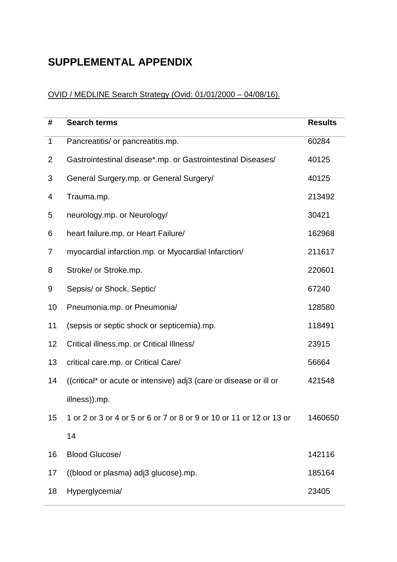## **SUPPLEMENTAL APPENDIX**

## OVID / MEDLINE Search Strategy (Ovid: 01/01/2000 – 04/08/16).

| #              | <b>Search terms</b>                                                  | <b>Results</b> |
|----------------|----------------------------------------------------------------------|----------------|
| $\mathbf 1$    | Pancreatitis/ or pancreatitis.mp.                                    | 60284          |
| $\overline{2}$ | Gastrointestinal disease*.mp. or Gastrointestinal Diseases/          | 40125          |
| 3              | General Surgery.mp. or General Surgery/                              | 40125          |
| 4              | Trauma.mp.                                                           | 213492         |
| 5              | neurology.mp. or Neurology/                                          | 30421          |
| 6              | heart failure.mp. or Heart Failure/                                  | 162968         |
| 7              | myocardial infarction.mp. or Myocardial Infarction/                  | 211617         |
| 8              | Stroke/ or Stroke.mp.                                                | 220601         |
| 9              | Sepsis/ or Shock, Septic/                                            | 67240          |
| 10             | Pneumonia.mp. or Pneumonia/                                          | 128580         |
| 11             | (sepsis or septic shock or septicemia).mp.                           | 118491         |
| 12             | Critical illness.mp. or Critical Illness/                            | 23915          |
| 13             | critical care.mp. or Critical Care/                                  | 56664          |
| 14             | ((critical* or acute or intensive) adj3 (care or disease or ill or   | 421548         |
|                | illness)).mp.                                                        |                |
| 15             | 1 or 2 or 3 or 4 or 5 or 6 or 7 or 8 or 9 or 10 or 11 or 12 or 13 or | 1460650        |
|                | 14                                                                   |                |
| 16             | <b>Blood Glucose/</b>                                                | 142116         |
| 17             | ((blood or plasma) adj3 glucose).mp.                                 | 185164         |
| 18             | Hyperglycemia/                                                       | 23405          |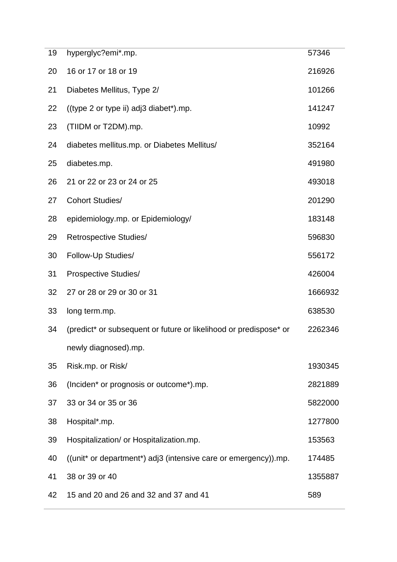| 19 | hyperglyc?emi*.mp.                                                | 57346   |
|----|-------------------------------------------------------------------|---------|
| 20 | 16 or 17 or 18 or 19                                              | 216926  |
| 21 | Diabetes Mellitus, Type 2/                                        | 101266  |
| 22 | ((type 2 or type ii) adj3 diabet*).mp.                            | 141247  |
| 23 | (TIIDM or T2DM).mp.                                               | 10992   |
| 24 | diabetes mellitus.mp. or Diabetes Mellitus/                       | 352164  |
| 25 | diabetes.mp.                                                      | 491980  |
| 26 | 21 or 22 or 23 or 24 or 25                                        | 493018  |
| 27 | <b>Cohort Studies/</b>                                            | 201290  |
| 28 | epidemiology.mp. or Epidemiology/                                 | 183148  |
| 29 | Retrospective Studies/                                            | 596830  |
| 30 | Follow-Up Studies/                                                | 556172  |
| 31 | <b>Prospective Studies/</b>                                       | 426004  |
| 32 | 27 or 28 or 29 or 30 or 31                                        | 1666932 |
| 33 | long term.mp.                                                     | 638530  |
| 34 | (predict* or subsequent or future or likelihood or predispose* or | 2262346 |
|    | newly diagnosed).mp.                                              |         |
| 35 | Risk.mp. or Risk/                                                 | 1930345 |
| 36 | (Inciden* or prognosis or outcome*).mp.                           | 2821889 |
| 37 | 33 or 34 or 35 or 36                                              | 5822000 |
| 38 | Hospital*.mp.                                                     | 1277800 |
| 39 | Hospitalization/ or Hospitalization.mp.                           | 153563  |
| 40 | ((unit* or department*) adj3 (intensive care or emergency)).mp.   | 174485  |
| 41 | 38 or 39 or 40                                                    | 1355887 |
| 42 | 15 and 20 and 26 and 32 and 37 and 41                             | 589     |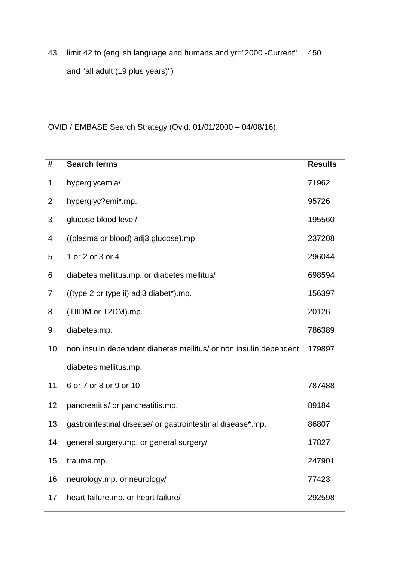limit 42 to (english language and humans and yr="2000 -Current" and "all adult (19 plus years)") 

## OVID / EMBASE Search Strategy (Ovid: 01/01/2000 – 04/08/16).

| #           | <b>Search terms</b>                                               | <b>Results</b> |
|-------------|-------------------------------------------------------------------|----------------|
| $\mathbf 1$ | hyperglycemia/                                                    | 71962          |
| 2           | hyperglyc?emi*.mp.                                                | 95726          |
| 3           | glucose blood level/                                              | 195560         |
| 4           | ((plasma or blood) adj3 glucose).mp.                              | 237208         |
| 5           | 1 or 2 or 3 or 4                                                  | 296044         |
| 6           | diabetes mellitus.mp. or diabetes mellitus/                       | 698594         |
| 7           | ((type 2 or type ii) adj3 diabet*).mp.                            | 156397         |
| 8           | (TIIDM or T2DM).mp.                                               | 20126          |
| 9           | diabetes.mp.                                                      | 786389         |
| 10          | non insulin dependent diabetes mellitus/ or non insulin dependent | 179897         |
|             | diabetes mellitus.mp.                                             |                |
| 11          | 6 or 7 or 8 or 9 or 10                                            | 787488         |
| 12          | pancreatitis/ or pancreatitis.mp.                                 | 89184          |
| 13          | gastrointestinal disease/ or gastrointestinal disease*.mp.        | 86807          |
| 14          | general surgery.mp. or general surgery/                           | 17827          |
| 15          | trauma.mp.                                                        | 247901         |
| 16          | neurology.mp. or neurology/                                       | 77423          |
| 17          | heart failure.mp. or heart failure/                               | 292598         |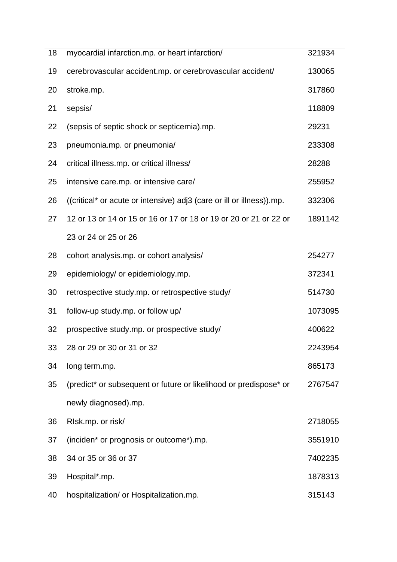| 18 | myocardial infarction.mp. or heart infarction/                        | 321934  |
|----|-----------------------------------------------------------------------|---------|
| 19 | cerebrovascular accident.mp. or cerebrovascular accident/             | 130065  |
| 20 | stroke.mp.                                                            | 317860  |
| 21 | sepsis/                                                               | 118809  |
| 22 | (sepsis of septic shock or septicemia).mp.                            | 29231   |
| 23 | pneumonia.mp. or pneumonia/                                           | 233308  |
| 24 | critical illness.mp. or critical illness/                             | 28288   |
| 25 | intensive care.mp. or intensive care/                                 | 255952  |
| 26 | ((critical* or acute or intensive) adj3 (care or ill or illness)).mp. | 332306  |
| 27 | 12 or 13 or 14 or 15 or 16 or 17 or 18 or 19 or 20 or 21 or 22 or     | 1891142 |
|    | 23 or 24 or 25 or 26                                                  |         |
| 28 | cohort analysis.mp. or cohort analysis/                               | 254277  |
| 29 | epidemiology/ or epidemiology.mp.                                     | 372341  |
| 30 | retrospective study.mp. or retrospective study/                       | 514730  |
| 31 | follow-up study.mp. or follow up/                                     | 1073095 |
| 32 | prospective study.mp. or prospective study/                           | 400622  |
| 33 | 28 or 29 or 30 or 31 or 32                                            | 2243954 |
| 34 | long term.mp.                                                         | 865173  |
| 35 | (predict* or subsequent or future or likelihood or predispose* or     | 2767547 |
|    | newly diagnosed).mp.                                                  |         |
| 36 | RIsk.mp. or risk/                                                     | 2718055 |
| 37 | (inciden* or prognosis or outcome*).mp.                               | 3551910 |
| 38 | 34 or 35 or 36 or 37                                                  | 7402235 |
| 39 | Hospital*.mp.                                                         | 1878313 |
| 40 | hospitalization/ or Hospitalization.mp.                               | 315143  |